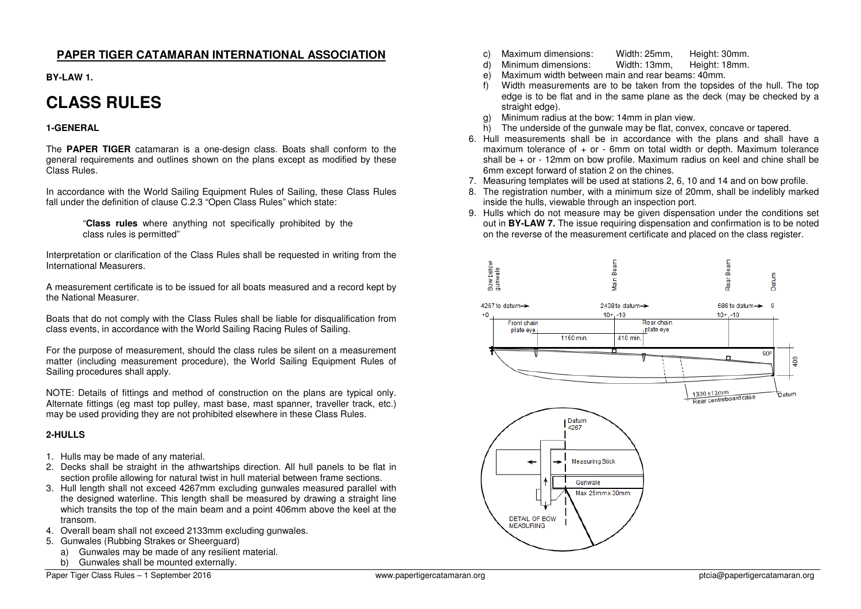## **PAPER TIGER CATAMARAN INTERNATIONAL ASSOCIATION**

**BY-LAW 1.** 

# **CLASS RULES**

## **1-GENERAL**

The **PAPER TIGER** catamaran is a one-design class. Boats shall conform to the general requirements and outlines shown on the plans except as modified by these Class Rules.

In accordance with the World Sailing Equipment Rules of Sailing, these Class Rules fall under the definition of clause C.2.3 "Open Class Rules" which state:

> "**Class rules** where anything not specifically prohibited by the class rules is permitted"

Interpretation or clarification of the Class Rules shall be requested in writing from the International Measurers.

A measurement certificate is to be issued for all boats measured and a record kept by the National Measurer.

Boats that do not comply with the Class Rules shall be liable for disqualification from class events, in accordance with the World Sailing Racing Rules of Sailing.

For the purpose of measurement, should the class rules be silent on a measurement matter (including measurement procedure), the World Sailing Equipment Rules of Sailing procedures shall apply.

NOTE: Details of fittings and method of construction on the plans are typical only. Alternate fittings (eg mast top pulley, mast base, mast spanner, traveller track, etc.) may be used providing they are not prohibited elsewhere in these Class Rules.

#### **2-HULLS**

- 1. Hulls may be made of any material.
- 2. Decks shall be straight in the athwartships direction. All hull panels to be flat in section profile allowing for natural twist in hull material between frame sections.
- 3. Hull length shall not exceed 4267mm excluding gunwales measured parallel with the designed waterline. This length shall be measured by drawing a straight line which transits the top of the main beam and a point 406mm above the keel at the transom.
- 4. Overall beam shall not exceed 2133mm excluding gunwales.
- 5. Gunwales (Rubbing Strakes or Sheerguard)
	- a) Gunwales may be made of any resilient material.
	- b) Gunwales shall be mounted externally.
- c) Maximum dimensions: Width: 25mm, Height: 30mm.
- Height: 18mm. Minimum dimensions:
- e) Maximum width between main and rear beams: 40mm.
- f) Width measurements are to be taken from the topsides of the hull. The top edge is to be flat and in the same plane as the deck (may be checked by a straight edge).
- g) Minimum radius at the bow: 14mm in plan view.
- h) The underside of the gunwale may be flat, convex, concave or tapered.
- 6. Hull measurements shall be in accordance with the plans and shall have a maximum tolerance of + or - 6mm on total width or depth. Maximum tolerance shall be + or - 12mm on bow profile. Maximum radius on keel and chine shall be 6mm except forward of station 2 on the chines.
- 7. Measuring templates will be used at stations 2, 6, 10 and 14 and on bow profile.
- 8. The registration number, with a minimum size of 20mm, shall be indelibly marked inside the hulls, viewable through an inspection port.
- 9. Hulls which do not measure may be given dispensation under the conditions set out in **BY-LAW 7.** The issue requiring dispensation and confirmation is to be noted on the reverse of the measurement certificate and placed on the class register.

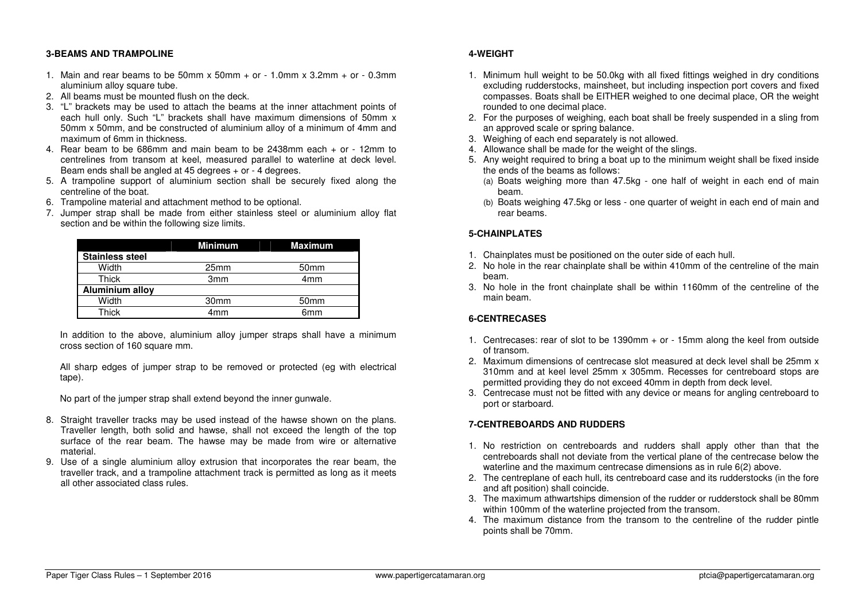#### **3-BEAMS AND TRAMPOLINE**

- 1. Main and rear beams to be 50mm x 50mm + or 1.0mm x  $3.2$ mm + or 0.3mm aluminium alloy square tube.
- 2. All beams must be mounted flush on the deck.
- 3. "L" brackets may be used to attach the beams at the inner attachment points of each hull only. Such "L" brackets shall have maximum dimensions of 50mm x 50mm x 50mm, and be constructed of aluminium alloy of a minimum of 4mm and maximum of 6mm in thickness.
- 4. Rear beam to be 686mm and main beam to be 2438mm each + or 12mm to centrelines from transom at keel, measured parallel to waterline at deck level. Beam ends shall be angled at 45 degrees + or - 4 degrees.
- 5. A trampoline support of aluminium section shall be securely fixed along the centreline of the boat.
- 6. Trampoline material and attachment method to be optional.
- 7. Jumper strap shall be made from either stainless steel or aluminium alloy flat section and be within the following size limits.

|                        | <b>Minimum</b>   | <b>Maximum</b>   |  |
|------------------------|------------------|------------------|--|
| <b>Stainless steel</b> |                  |                  |  |
| Width                  | 25 <sub>mm</sub> | 50 <sub>mm</sub> |  |
| Thick                  | 3 <sub>mm</sub>  | 4 <sub>mm</sub>  |  |
| Aluminium alloy        |                  |                  |  |
| Width                  | 30 <sub>mm</sub> | 50 <sub>mm</sub> |  |
| Thick                  | 4mm              | 6mm              |  |

In addition to the above, aluminium alloy jumper straps shall have a minimum cross section of 160 square mm.

All sharp edges of jumper strap to be removed or protected (eg with electrical tape).

No part of the jumper strap shall extend beyond the inner gunwale.

- 8. Straight traveller tracks may be used instead of the hawse shown on the plans. Traveller length, both solid and hawse, shall not exceed the length of the top surface of the rear beam. The hawse may be made from wire or alternative material.
- 9. Use of a single aluminium alloy extrusion that incorporates the rear beam, the traveller track, and a trampoline attachment track is permitted as long as it meets all other associated class rules.

## **4-WEIGHT**

- 1. Minimum hull weight to be 50.0kg with all fixed fittings weighed in dry conditions excluding rudderstocks, mainsheet, but including inspection port covers and fixed compasses. Boats shall be EITHER weighed to one decimal place, OR the weight rounded to one decimal place.
- 2. For the purposes of weighing, each boat shall be freely suspended in a sling from an approved scale or spring balance.
- 3. Weighing of each end separately is not allowed.
- 4. Allowance shall be made for the weight of the slings.
- 5. Any weight required to bring a boat up to the minimum weight shall be fixed inside the ends of the beams as follows:
	- (a) Boats weighing more than 47.5kg one half of weight in each end of main beam.
	- (b) Boats weighing 47.5kg or less one quarter of weight in each end of main and rear beams.

## **5-CHAINPLATES**

- 1. Chainplates must be positioned on the outer side of each hull.
- 2. No hole in the rear chainplate shall be within 410mm of the centreline of the main beam.
- 3. No hole in the front chainplate shall be within 1160mm of the centreline of the main beam.

## **6-CENTRECASES**

- 1. Centrecases: rear of slot to be 1390mm + or 15mm along the keel from outside of transom.
- 2. Maximum dimensions of centrecase slot measured at deck level shall be 25mm x 310mm and at keel level 25mm x 305mm. Recesses for centreboard stops are permitted providing they do not exceed 40mm in depth from deck level.
- 3. Centrecase must not be fitted with any device or means for angling centreboard to port or starboard.

## **7-CENTREBOARDS AND RUDDERS**

- 1. No restriction on centreboards and rudders shall apply other than that the centreboards shall not deviate from the vertical plane of the centrecase below the waterline and the maximum centrecase dimensions as in rule 6(2) above.
- 2. The centreplane of each hull, its centreboard case and its rudderstocks (in the fore and aft position) shall coincide.
- 3. The maximum athwartships dimension of the rudder or rudderstock shall be 80mm within 100mm of the waterline projected from the transom.
- 4. The maximum distance from the transom to the centreline of the rudder pintle points shall be 70mm.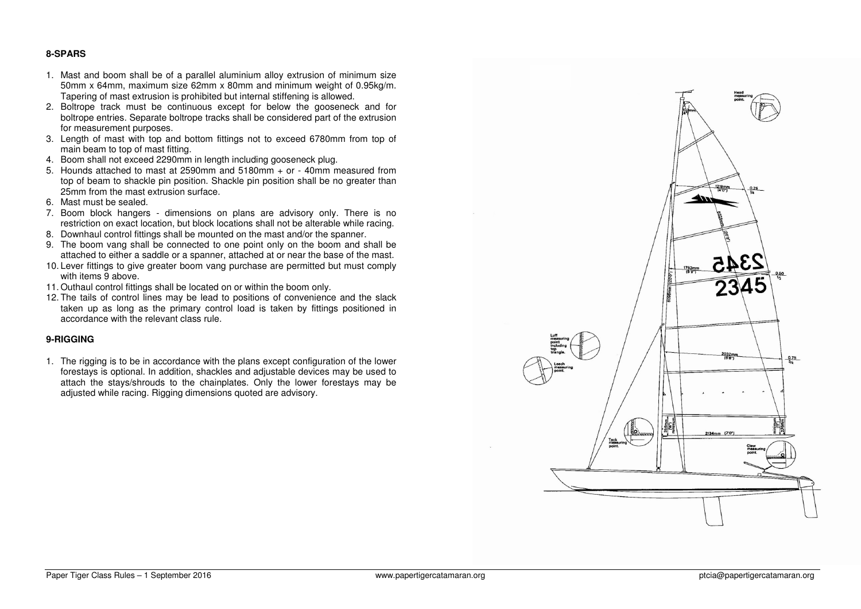#### **8-SPARS**

- 1. Mast and boom shall be of a parallel aluminium alloy extrusion of minimum size 50mm x 64mm, maximum size 62mm x 80mm and minimum weight of 0.95kg/m. Tapering of mast extrusion is prohibited but internal stiffening is allowed.
- 2. Boltrope track must be continuous except for below the gooseneck and for boltrope entries. Separate boltrope tracks shall be considered part of the extrusion for measurement purposes.
- 3. Length of mast with top and bottom fittings not to exceed 6780mm from top of main beam to top of mast fitting.
- 4. Boom shall not exceed 2290mm in length including gooseneck plug.
- 5. Hounds attached to mast at 2590mm and 5180mm + or 40mm measured from top of beam to shackle pin position. Shackle pin position shall be no greater than 25mm from the mast extrusion surface.
- 6. Mast must be sealed.
- 7. Boom block hangers dimensions on plans are advisory only. There is no restriction on exact location, but block locations shall not be alterable while racing.
- 8. Downhaul control fittings shall be mounted on the mast and/or the spanner.
- 9. The boom vang shall be connected to one point only on the boom and shall be attached to either a saddle or a spanner, attached at or near the base of the mast.
- 10. Lever fittings to give greater boom vang purchase are permitted but must comply with items 9 above.
- 11. Outhaul control fittings shall be located on or within the boom only.
- 12. The tails of control lines may be lead to positions of convenience and the slack taken up as long as the primary control load is taken by fittings positioned in accordance with the relevant class rule.

#### **9-RIGGING**

1. The rigging is to be in accordance with the plans except configuration of the lower forestays is optional. In addition, shackles and adjustable devices may be used to attach the stays/shrouds to the chainplates. Only the lower forestays may be adjusted while racing. Rigging dimensions quoted are advisory.